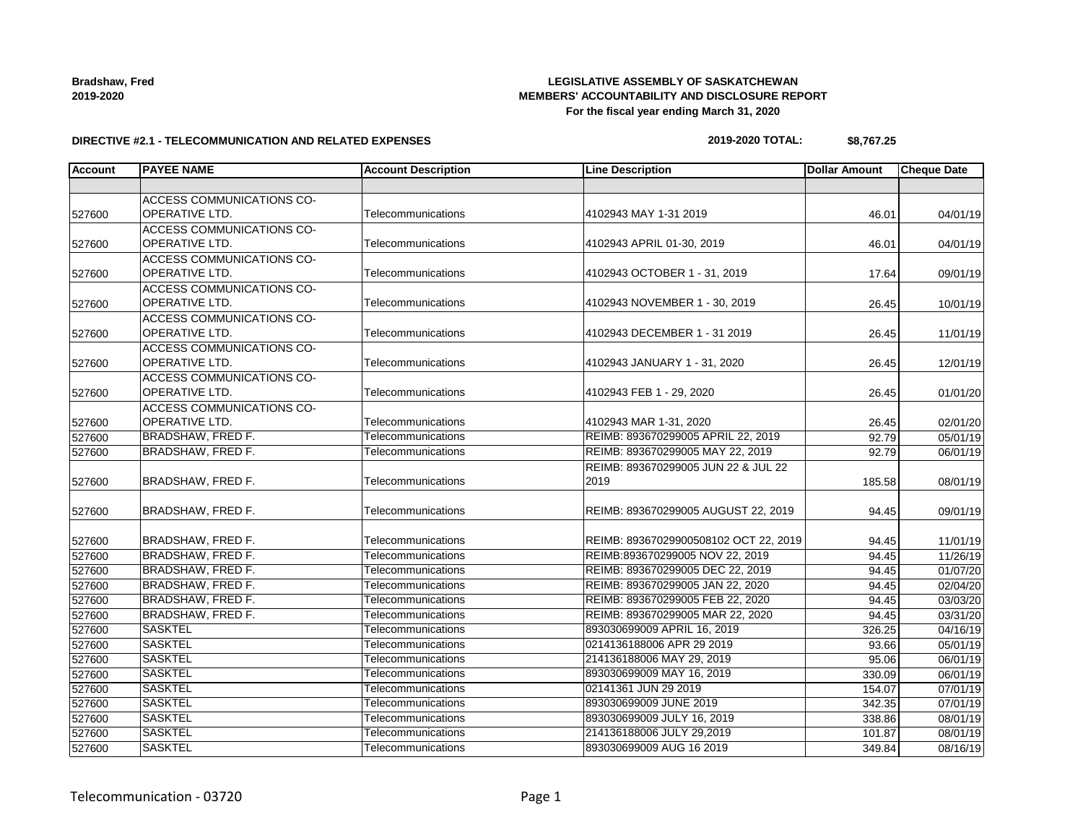| <b>Bradshaw, Fred</b> |  |
|-----------------------|--|
| 2019-2020             |  |

### **LEGISLATIVE ASSEMBLY OF SASKATCHEWAN MEMBERS' ACCOUNTABILITY AND DISCLOSURE REPORT For the fiscal year ending March 31, 2020**

#### **DIRECTIVE #2.1 - TELECOMMUNICATION AND RELATED EXPENSES**

# **2019-2020 TOTAL: \$8,767.25**

| <b>Account</b> | <b>PAYEE NAME</b>                | <b>Account Description</b> | <b>Line Description</b>               | <b>Dollar Amount</b> | <b>Cheque Date</b> |
|----------------|----------------------------------|----------------------------|---------------------------------------|----------------------|--------------------|
|                |                                  |                            |                                       |                      |                    |
|                | ACCESS COMMUNICATIONS CO-        |                            |                                       |                      |                    |
| 527600         | OPERATIVE LTD.                   | Telecommunications         | 4102943 MAY 1-31 2019                 | 46.01                | 04/01/19           |
|                | <b>ACCESS COMMUNICATIONS CO-</b> |                            |                                       |                      |                    |
| 527600         | OPERATIVE LTD.                   | Telecommunications         | 4102943 APRIL 01-30, 2019             | 46.01                | 04/01/19           |
|                | <b>ACCESS COMMUNICATIONS CO-</b> |                            |                                       |                      |                    |
| 527600         | <b>OPERATIVE LTD.</b>            | Telecommunications         | 4102943 OCTOBER 1 - 31, 2019          | 17.64                | 09/01/19           |
|                | <b>ACCESS COMMUNICATIONS CO-</b> |                            |                                       |                      |                    |
| 527600         | <b>OPERATIVE LTD.</b>            | Telecommunications         | 4102943 NOVEMBER 1 - 30, 2019         | 26.45                | 10/01/19           |
|                | ACCESS COMMUNICATIONS CO-        |                            |                                       |                      |                    |
| 527600         | <b>OPERATIVE LTD.</b>            | Telecommunications         | 4102943 DECEMBER 1 - 31 2019          | 26.45                | 11/01/19           |
|                | <b>ACCESS COMMUNICATIONS CO-</b> |                            |                                       |                      |                    |
| 527600         | <b>OPERATIVE LTD.</b>            | Telecommunications         | 4102943 JANUARY 1 - 31, 2020          | 26.45                | 12/01/19           |
|                | <b>ACCESS COMMUNICATIONS CO-</b> |                            |                                       |                      |                    |
| 527600         | <b>OPERATIVE LTD.</b>            | Telecommunications         | 4102943 FEB 1 - 29, 2020              | 26.45                | 01/01/20           |
|                | <b>ACCESS COMMUNICATIONS CO-</b> |                            |                                       |                      |                    |
| 527600         | <b>OPERATIVE LTD.</b>            | Telecommunications         | 4102943 MAR 1-31, 2020                | 26.45                | 02/01/20           |
| 527600         | BRADSHAW, FRED F.                | Telecommunications         | REIMB: 893670299005 APRIL 22, 2019    | 92.79                | 05/01/19           |
| 527600         | <b>BRADSHAW, FRED F.</b>         | Telecommunications         | REIMB: 893670299005 MAY 22, 2019      | 92.79                | 06/01/19           |
|                |                                  |                            | REIMB: 893670299005 JUN 22 & JUL 22   |                      |                    |
| 527600         | BRADSHAW, FRED F.                | Telecommunications         | 2019                                  | 185.58               | 08/01/19           |
|                |                                  |                            |                                       |                      |                    |
| 527600         | BRADSHAW, FRED F.                | Telecommunications         | REIMB: 893670299005 AUGUST 22, 2019   | 94.45                | 09/01/19           |
|                |                                  |                            |                                       |                      |                    |
| 527600         | BRADSHAW, FRED F.                | Telecommunications         | REIMB: 89367029900508102 OCT 22, 2019 | 94.45                | 11/01/19           |
| 527600         | <b>BRADSHAW, FRED F.</b>         | Telecommunications         | REIMB:893670299005 NOV 22, 2019       | 94.45                | 11/26/19           |
| 527600         | <b>BRADSHAW, FRED F.</b>         | Telecommunications         | REIMB: 893670299005 DEC 22, 2019      | 94.45                | 01/07/20           |
| 527600         | <b>BRADSHAW, FRED F.</b>         | Telecommunications         | REIMB: 893670299005 JAN 22, 2020      | 94.45                | 02/04/20           |
| 527600         | BRADSHAW, FRED F.                | Telecommunications         | REIMB: 893670299005 FEB 22, 2020      | 94.45                | 03/03/20           |
| 527600         | <b>BRADSHAW, FRED F.</b>         | Telecommunications         | REIMB: 893670299005 MAR 22, 2020      | 94.45                | 03/31/20           |
| 527600         | <b>SASKTEL</b>                   | Telecommunications         | 893030699009 APRIL 16, 2019           | 326.25               | 04/16/19           |
| 527600         | <b>SASKTEL</b>                   | Telecommunications         | 0214136188006 APR 29 2019             | 93.66                | 05/01/19           |
| 527600         | <b>SASKTEL</b>                   | Telecommunications         | 214136188006 MAY 29, 2019             | 95.06                | 06/01/19           |
| 527600         | <b>SASKTEL</b>                   | Telecommunications         | 893030699009 MAY 16, 2019             | 330.09               | 06/01/19           |
| 527600         | <b>SASKTEL</b>                   | Telecommunications         | 02141361 JUN 29 2019                  | 154.07               | 07/01/19           |
| 527600         | <b>SASKTEL</b>                   | Telecommunications         | 893030699009 JUNE 2019                | 342.35               | 07/01/19           |
| 527600         | <b>SASKTEL</b>                   | Telecommunications         | 893030699009 JULY 16, 2019            | 338.86               | 08/01/19           |
| 527600         | <b>SASKTEL</b>                   | Telecommunications         | 214136188006 JULY 29,2019             | 101.87               | 08/01/19           |
| 527600         | <b>SASKTEL</b>                   | Telecommunications         | 893030699009 AUG 16 2019              | 349.84               | 08/16/19           |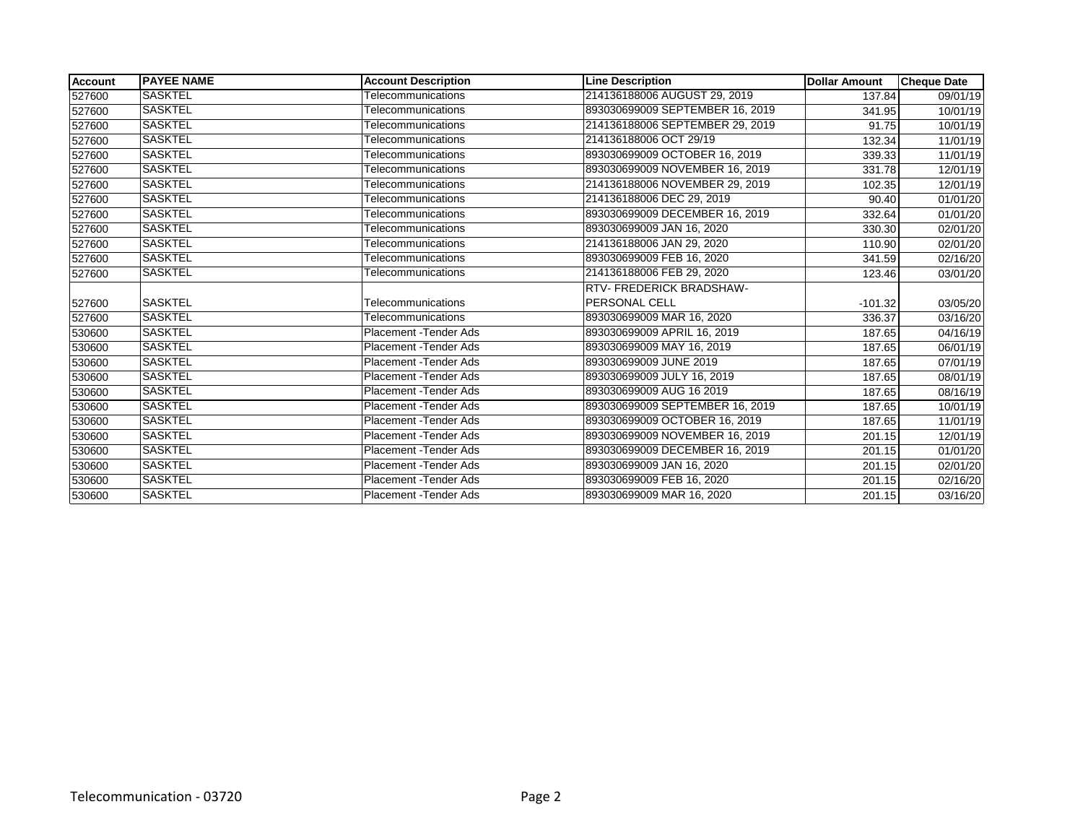| <b>Account</b> | <b>IPAYEE NAME</b> | <b>Account Description</b>    | <b>Line Description</b>         | <b>Dollar Amount</b> | <b>Cheque Date</b>    |
|----------------|--------------------|-------------------------------|---------------------------------|----------------------|-----------------------|
| 527600         | <b>SASKTEL</b>     | Telecommunications            | 214136188006 AUGUST 29, 2019    | 137.84               | 09/01/19              |
| 527600         | <b>SASKTEL</b>     | Telecommunications            | 893030699009 SEPTEMBER 16, 2019 | 341.95               | 10/01/19              |
| 527600         | <b>SASKTEL</b>     | Telecommunications            | 214136188006 SEPTEMBER 29, 2019 | 91.75                | 10/01/19              |
| 527600         | <b>SASKTEL</b>     | Telecommunications            | 214136188006 OCT 29/19          | 132.34               | 11/01/19              |
| 527600         | <b>SASKTEL</b>     | Telecommunications            | 893030699009 OCTOBER 16, 2019   | 339.33               | 11/01/19              |
| 527600         | <b>SASKTEL</b>     | Telecommunications            | 893030699009 NOVEMBER 16, 2019  | 331.78               | 12/01/19              |
| 527600         | <b>SASKTEL</b>     | Telecommunications            | 214136188006 NOVEMBER 29, 2019  | 102.35               | 12/01/19              |
| 527600         | <b>SASKTEL</b>     | Telecommunications            | 214136188006 DEC 29, 2019       | 90.40                | $\overline{01}/01/20$ |
| 527600         | <b>SASKTEL</b>     | Telecommunications            | 893030699009 DECEMBER 16, 2019  | 332.64               | 01/01/20              |
| 527600         | <b>SASKTEL</b>     | Telecommunications            | 893030699009 JAN 16, 2020       | 330.30               | 02/01/20              |
| 527600         | <b>SASKTEL</b>     | Telecommunications            | 214136188006 JAN 29, 2020       | 110.90               | $\overline{02}/01/20$ |
| 527600         | <b>SASKTEL</b>     | Telecommunications            | 893030699009 FEB 16, 2020       | 341.59               | 02/16/20              |
| 527600         | <b>SASKTEL</b>     | Telecommunications            | 214136188006 FEB 29, 2020       | 123.46               | 03/01/20              |
|                |                    |                               | <b>RTV-FREDERICK BRADSHAW-</b>  |                      |                       |
| 527600         | <b>SASKTEL</b>     | Telecommunications            | <b>PERSONAL CELL</b>            | $-101.32$            | 03/05/20              |
| 527600         | <b>SASKTEL</b>     | Telecommunications            | 893030699009 MAR 16, 2020       | 336.37               | 03/16/20              |
| 530600         | <b>SASKTEL</b>     | Placement - Tender Ads        | 893030699009 APRIL 16, 2019     | 187.65               | 04/16/19              |
| 530600         | <b>SASKTEL</b>     | Placement - Tender Ads        | 893030699009 MAY 16, 2019       | 187.65               | 06/01/19              |
| 530600         | <b>SASKTEL</b>     | Placement - Tender Ads        | 893030699009 JUNE 2019          | 187.65               | 07/01/19              |
| 530600         | SASKTEL            | Placement - Tender Ads        | 893030699009 JULY 16, 2019      | 187.65               | 08/01/19              |
| 530600         | <b>SASKTEL</b>     | <b>Placement - Tender Ads</b> | 893030699009 AUG 16 2019        | 187.65               | 08/16/19              |
| 530600         | <b>SASKTEL</b>     | Placement - Tender Ads        | 893030699009 SEPTEMBER 16, 2019 | 187.65               | 10/01/19              |
| 530600         | <b>SASKTEL</b>     | Placement - Tender Ads        | 893030699009 OCTOBER 16, 2019   | 187.65               | 11/01/19              |
| 530600         | SASKTEL            | Placement - Tender Ads        | 893030699009 NOVEMBER 16, 2019  | 201.15               | 12/01/19              |
| 530600         | <b>SASKTEL</b>     | Placement - Tender Ads        | 893030699009 DECEMBER 16, 2019  | 201.15               | 01/01/20              |
| 530600         | <b>SASKTEL</b>     | Placement - Tender Ads        | 893030699009 JAN 16, 2020       | 201.15               | 02/01/20              |
| 530600         | <b>SASKTEL</b>     | Placement - Tender Ads        | 893030699009 FEB 16, 2020       | 201.15               | 02/16/20              |
| 530600         | <b>SASKTEL</b>     | Placement - Tender Ads        | 893030699009 MAR 16, 2020       | 201.15               | 03/16/20              |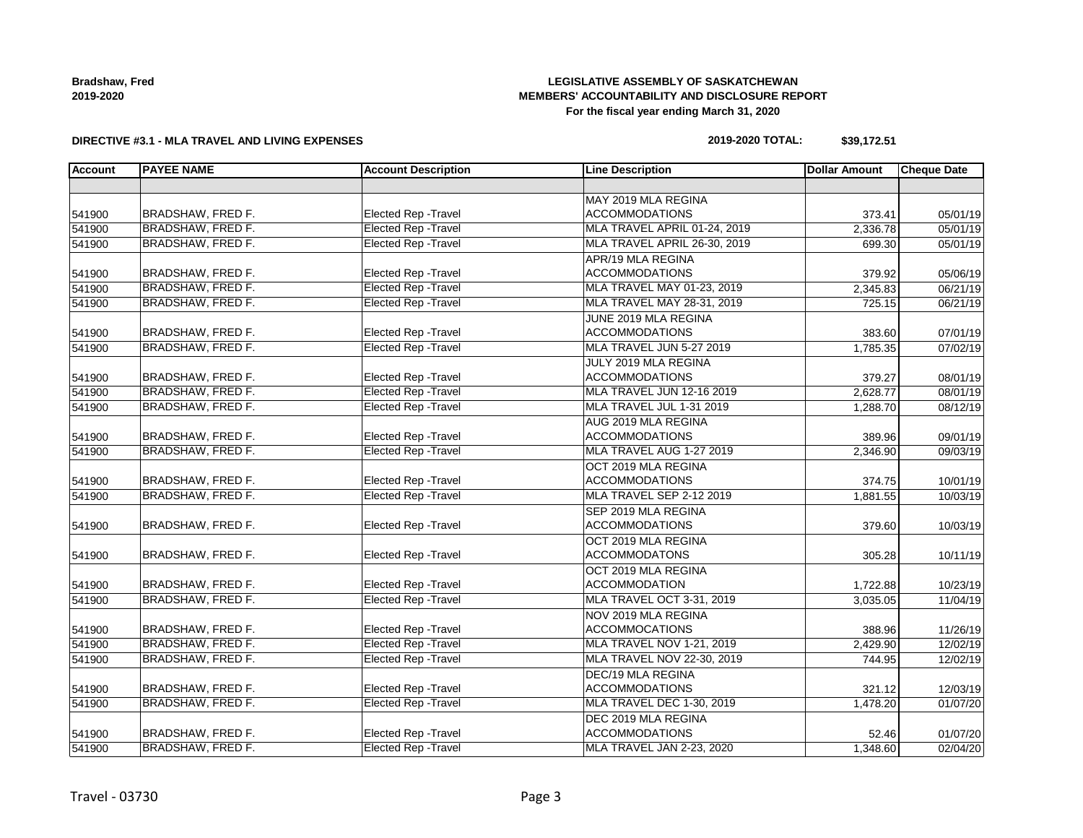**Bradshaw, Fred 2019-2020**

### **LEGISLATIVE ASSEMBLY OF SASKATCHEWAN MEMBERS' ACCOUNTABILITY AND DISCLOSURE REPORT For the fiscal year ending March 31, 2020**

#### **DIRECTIVE #3.1 - MLA TRAVEL AND LIVING EXPENSES**

### **2019-2020 TOTAL: \$39,172.51**

| <b>Account</b> | <b>PAYEE NAME</b>        | <b>Account Description</b>  | <b>Line Description</b>           | <b>Dollar Amount</b> | <b>Cheque Date</b> |
|----------------|--------------------------|-----------------------------|-----------------------------------|----------------------|--------------------|
|                |                          |                             |                                   |                      |                    |
|                |                          |                             | MAY 2019 MLA REGINA               |                      |                    |
| 541900         | BRADSHAW, FRED F.        | Elected Rep - Travel        | <b>ACCOMMODATIONS</b>             | 373.41               | 05/01/19           |
| 541900         | <b>BRADSHAW, FRED F.</b> | <b>Elected Rep - Travel</b> | MLA TRAVEL APRIL 01-24, 2019      | 2,336.78             | 05/01/19           |
| 541900         | BRADSHAW, FRED F.        | <b>Elected Rep - Travel</b> | MLA TRAVEL APRIL 26-30, 2019      | 699.30               | 05/01/19           |
|                |                          |                             | APR/19 MLA REGINA                 |                      |                    |
| 541900         | <b>BRADSHAW, FRED F.</b> | <b>Elected Rep - Travel</b> | <b>ACCOMMODATIONS</b>             | 379.92               | 05/06/19           |
| 541900         | <b>BRADSHAW, FRED F.</b> | <b>Elected Rep - Travel</b> | MLA TRAVEL MAY 01-23, 2019        | 2,345.83             | 06/21/19           |
| 541900         | <b>BRADSHAW, FRED F.</b> | <b>Elected Rep - Travel</b> | MLA TRAVEL MAY 28-31, 2019        | 725.15               | 06/21/19           |
|                |                          |                             | JUNE 2019 MLA REGINA              |                      |                    |
| 541900         | BRADSHAW, FRED F.        | Elected Rep - Travel        | <b>ACCOMMODATIONS</b>             | 383.60               | 07/01/19           |
| 541900         | <b>BRADSHAW, FRED F.</b> | <b>Elected Rep - Travel</b> | MLA TRAVEL JUN 5-27 2019          | 1,785.35             | 07/02/19           |
|                |                          |                             | JULY 2019 MLA REGINA              |                      |                    |
| 541900         | BRADSHAW, FRED F.        | <b>Elected Rep - Travel</b> | <b>ACCOMMODATIONS</b>             | 379.27               | 08/01/19           |
| 541900         | <b>BRADSHAW, FRED F.</b> | <b>Elected Rep - Travel</b> | MLA TRAVEL JUN 12-16 2019         | 2.628.77             | 08/01/19           |
| 541900         | <b>BRADSHAW, FRED F.</b> | <b>Elected Rep - Travel</b> | MLA TRAVEL JUL 1-31 2019          | 1,288.70             | 08/12/19           |
|                |                          |                             | AUG 2019 MLA REGINA               |                      |                    |
| 541900         | BRADSHAW, FRED F.        | Elected Rep - Travel        | <b>ACCOMMODATIONS</b>             | 389.96               | 09/01/19           |
| 541900         | BRADSHAW, FRED F.        | <b>Elected Rep - Travel</b> | MLA TRAVEL AUG 1-27 2019          | 2,346.90             | 09/03/19           |
|                |                          |                             | OCT 2019 MLA REGINA               |                      |                    |
| 541900         | BRADSHAW, FRED F.        | Elected Rep - Travel        | <b>ACCOMMODATIONS</b>             | 374.75               | 10/01/19           |
| 541900         | BRADSHAW, FRED F.        | <b>Elected Rep - Travel</b> | MLA TRAVEL SEP 2-12 2019          | 1,881.55             | 10/03/19           |
|                |                          |                             | SEP 2019 MLA REGINA               |                      |                    |
| 541900         | BRADSHAW, FRED F.        | Elected Rep - Travel        | <b>ACCOMMODATIONS</b>             | 379.60               | 10/03/19           |
|                |                          |                             | OCT 2019 MLA REGINA               |                      |                    |
| 541900         | <b>BRADSHAW, FRED F.</b> | Elected Rep - Travel        | <b>ACCOMMODATONS</b>              | 305.28               | 10/11/19           |
|                |                          |                             | OCT 2019 MLA REGINA               |                      |                    |
| 541900         | <b>BRADSHAW, FRED F.</b> | Elected Rep - Travel        | <b>ACCOMMODATION</b>              | 1,722.88             | 10/23/19           |
| 541900         | BRADSHAW, FRED F.        | <b>Elected Rep - Travel</b> | MLA TRAVEL OCT 3-31, 2019         | 3,035.05             | 11/04/19           |
|                |                          |                             | NOV 2019 MLA REGINA               |                      |                    |
| 541900         | <b>BRADSHAW, FRED F.</b> | <b>Elected Rep - Travel</b> | <b>ACCOMMOCATIONS</b>             | 388.96               | 11/26/19           |
| 541900         | BRADSHAW, FRED F.        | <b>Elected Rep - Travel</b> | MLA TRAVEL NOV 1-21, 2019         | 2,429.90             | 12/02/19           |
| 541900         | <b>BRADSHAW, FRED F.</b> | <b>Elected Rep - Travel</b> | <b>MLA TRAVEL NOV 22-30, 2019</b> | 744.95               | 12/02/19           |
|                |                          |                             | DEC/19 MLA REGINA                 |                      |                    |
| 541900         | <b>BRADSHAW, FRED F.</b> | Elected Rep - Travel        | <b>ACCOMMODATIONS</b>             | 321.12               | 12/03/19           |
| 541900         | <b>BRADSHAW, FRED F.</b> | <b>Elected Rep - Travel</b> | MLA TRAVEL DEC 1-30, 2019         | 1,478.20             | 01/07/20           |
|                |                          |                             | DEC 2019 MLA REGINA               |                      |                    |
| 541900         | BRADSHAW, FRED F.        | Elected Rep - Travel        | <b>ACCOMMODATIONS</b>             | 52.46                | 01/07/20           |
| 541900         | BRADSHAW, FRED F.        | Elected Rep - Travel        | MLA TRAVEL JAN 2-23, 2020         | 1,348.60             | 02/04/20           |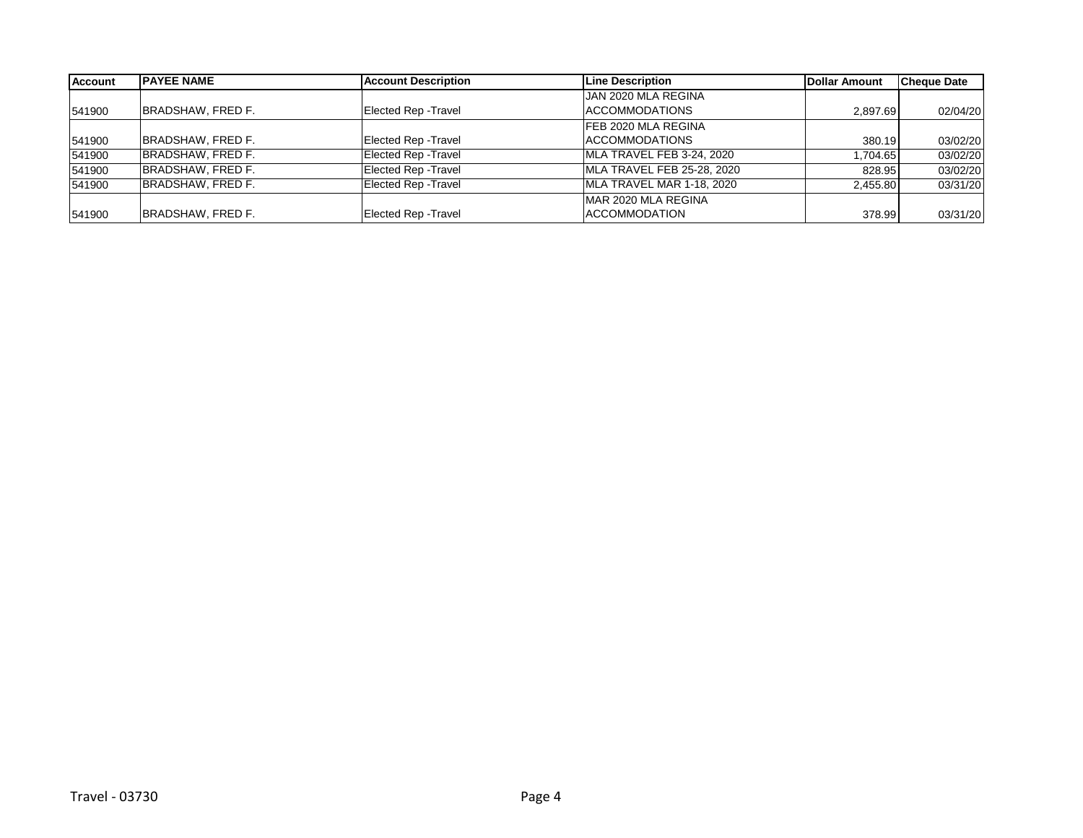| Account | <b>PAYEE NAME</b> | <b>Account Description</b>  | Line Description           | Dollar Amount | <b>Cheque Date</b> |
|---------|-------------------|-----------------------------|----------------------------|---------------|--------------------|
|         |                   |                             | JAN 2020 MLA REGINA        |               |                    |
| 541900  | BRADSHAW, FRED F. | <b>Elected Rep - Travel</b> | ACCOMMODATIONS             | 2,897.69      | 02/04/20           |
|         |                   |                             | <b>FEB 2020 MLA REGINA</b> |               |                    |
| 541900  | BRADSHAW, FRED F. | <b>Elected Rep - Travel</b> | ACCOMMODATIONS             | 380.19        | 03/02/20           |
| 541900  | BRADSHAW, FRED F. | <b>Elected Rep - Travel</b> | MLA TRAVEL FEB 3-24, 2020  | 1.704.65      | 03/02/20           |
| 541900  | BRADSHAW, FRED F. | <b>Elected Rep - Travel</b> | MLA TRAVEL FEB 25-28, 2020 | 828.95        | 03/02/20           |
| 541900  | BRADSHAW, FRED F. | <b>Elected Rep - Travel</b> | MLA TRAVEL MAR 1-18, 2020  | 2.455.80      | 03/31/20           |
|         |                   |                             | MAR 2020 MLA REGINA        |               |                    |
| 541900  | BRADSHAW, FRED F. | <b>Elected Rep - Travel</b> | <b>ACCOMMODATION</b>       | 378.99        | 03/31/20           |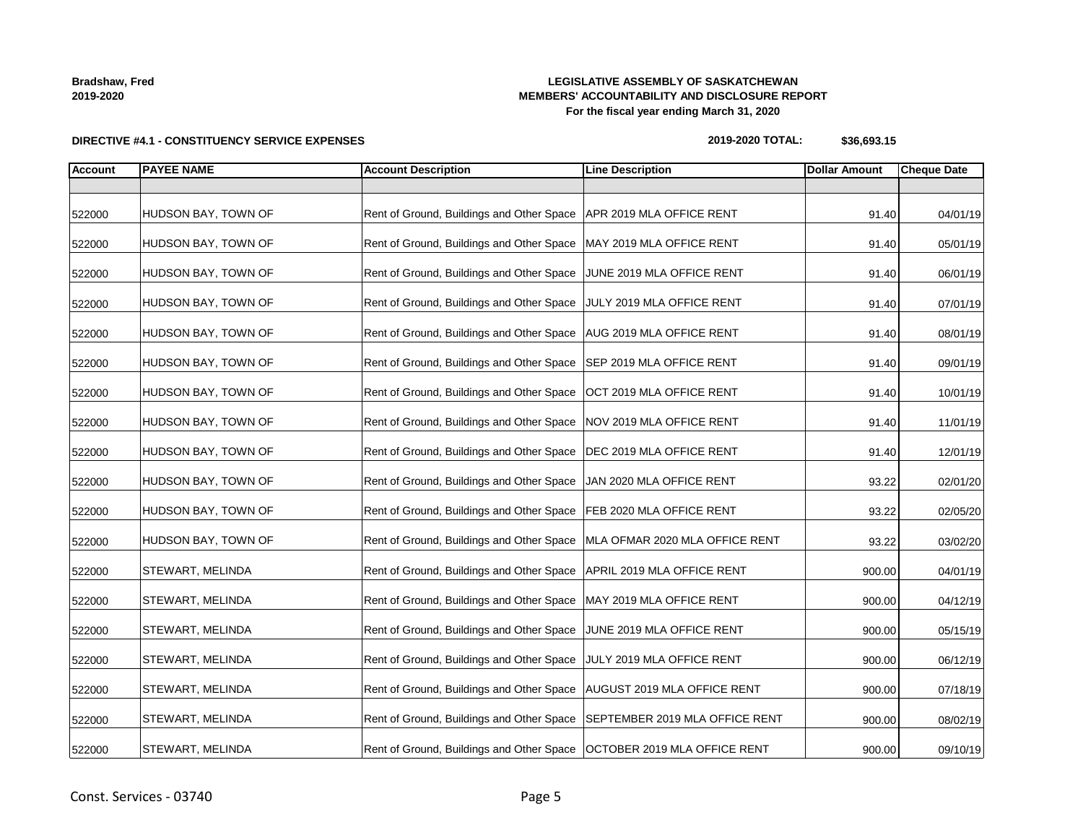| Const. Services - 03740 | Page 5 |
|-------------------------|--------|

## **LEGISLATIVE ASSEMBLY OF SASKATCHEWAN MEMBERS' ACCOUNTABILITY AND DISCLOSURE REPORT For the fiscal year ending March 31, 2020**

## **DIRECTIVE #4.1 - CONSTITUENCY SERVICE EXPENSES**

| 2019-2020 TOTAL: | \$36,693.15 |
|------------------|-------------|
|------------------|-------------|

| <b>Account</b> | <b>PAYEE NAME</b>       | <b>Account Description</b>                                                 | <b>Line Description</b>     | <b>Dollar Amount</b> | <b>Cheque Date</b> |
|----------------|-------------------------|----------------------------------------------------------------------------|-----------------------------|----------------------|--------------------|
|                |                         |                                                                            |                             |                      |                    |
| 522000         | HUDSON BAY, TOWN OF     | Rent of Ground, Buildings and Other Space   APR 2019 MLA OFFICE RENT       |                             | 91.40                | 04/01/19           |
| 522000         | HUDSON BAY, TOWN OF     | Rent of Ground, Buildings and Other Space   MAY 2019 MLA OFFICE RENT       |                             | 91.40                | 05/01/19           |
| 522000         | HUDSON BAY, TOWN OF     | Rent of Ground, Buildings and Other Space                                  | JUNE 2019 MLA OFFICE RENT   | 91.40                | 06/01/19           |
| 522000         | HUDSON BAY, TOWN OF     | Rent of Ground, Buildings and Other Space                                  | JULY 2019 MLA OFFICE RENT   | 91.40                | 07/01/19           |
| 522000         | HUDSON BAY, TOWN OF     | Rent of Ground, Buildings and Other Space   AUG 2019 MLA OFFICE RENT       |                             | 91.40                | 08/01/19           |
| 522000         | HUDSON BAY, TOWN OF     | Rent of Ground, Buildings and Other Space SEP 2019 MLA OFFICE RENT         |                             | 91.40                | 09/01/19           |
| 522000         | HUDSON BAY, TOWN OF     | Rent of Ground, Buildings and Other Space                                  | OCT 2019 MLA OFFICE RENT    | 91.40                | 10/01/19           |
| 522000         | HUDSON BAY, TOWN OF     | Rent of Ground, Buildings and Other Space                                  | NOV 2019 MLA OFFICE RENT    | 91.40                | 11/01/19           |
| 522000         | HUDSON BAY, TOWN OF     | Rent of Ground, Buildings and Other Space                                  | DEC 2019 MLA OFFICE RENT    | 91.40                | 12/01/19           |
| 522000         | HUDSON BAY, TOWN OF     | Rent of Ground, Buildings and Other Space                                  | JAN 2020 MLA OFFICE RENT    | 93.22                | 02/01/20           |
| 522000         | HUDSON BAY, TOWN OF     | Rent of Ground, Buildings and Other Space   FEB 2020 MLA OFFICE RENT       |                             | 93.22                | 02/05/20           |
| 522000         | HUDSON BAY, TOWN OF     | Rent of Ground, Buildings and Other Space   MLA OFMAR 2020 MLA OFFICE RENT |                             | 93.22                | 03/02/20           |
| 522000         | STEWART, MELINDA        | Rent of Ground, Buildings and Other Space   APRIL 2019 MLA OFFICE RENT     |                             | 900.00               | 04/01/19           |
| 522000         | STEWART, MELINDA        | Rent of Ground, Buildings and Other Space   MAY 2019 MLA OFFICE RENT       |                             | 900.00               | 04/12/19           |
| 522000         | STEWART, MELINDA        | Rent of Ground, Buildings and Other Space JUNE 2019 MLA OFFICE RENT        |                             | 900.00               | 05/15/19           |
| 522000         | <b>STEWART, MELINDA</b> | Rent of Ground, Buildings and Other Space                                  | JULY 2019 MLA OFFICE RENT   | 900.00               | 06/12/19           |
| 522000         | STEWART, MELINDA        | Rent of Ground, Buildings and Other Space                                  | AUGUST 2019 MLA OFFICE RENT | 900.00               | 07/18/19           |
| 522000         | STEWART, MELINDA        | Rent of Ground, Buildings and Other Space   SEPTEMBER 2019 MLA OFFICE RENT |                             | 900.00               | 08/02/19           |
| 522000         | STEWART, MELINDA        | Rent of Ground, Buildings and Other Space   OCTOBER 2019 MLA OFFICE RENT   |                             | 900.00               | 09/10/19           |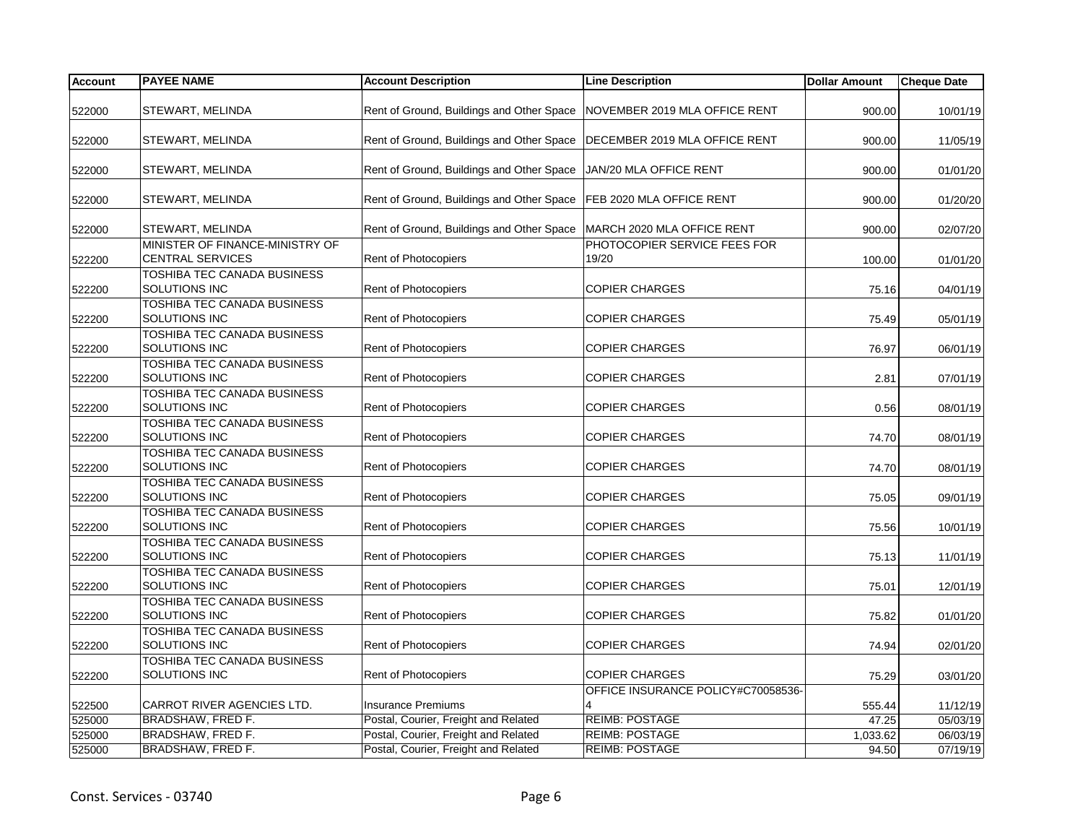| <b>Account</b> | <b>PAYEE NAME</b>                                          | <b>Account Description</b>                                                | <b>Line Description</b>               | <b>Dollar Amount</b> | <b>Cheque Date</b> |
|----------------|------------------------------------------------------------|---------------------------------------------------------------------------|---------------------------------------|----------------------|--------------------|
| 522000         | STEWART, MELINDA                                           | Rent of Ground, Buildings and Other Space                                 | NOVEMBER 2019 MLA OFFICE RENT         | 900.00               | 10/01/19           |
|                |                                                            |                                                                           |                                       |                      |                    |
| 522000         | STEWART, MELINDA                                           | Rent of Ground, Buildings and Other Space   DECEMBER 2019 MLA OFFICE RENT |                                       | 900.00               | 11/05/19           |
| 522000         | STEWART, MELINDA                                           | Rent of Ground, Buildings and Other Space                                 | JAN/20 MLA OFFICE RENT                | 900.00               | 01/01/20           |
| 522000         | STEWART, MELINDA                                           | Rent of Ground, Buildings and Other Space   FEB 2020 MLA OFFICE RENT      |                                       | 900.00               | 01/20/20           |
| 522000         | STEWART, MELINDA                                           | Rent of Ground, Buildings and Other Space                                 | MARCH 2020 MLA OFFICE RENT            |                      | 900.00<br>02/07/20 |
| 522200         | MINISTER OF FINANCE-MINISTRY OF<br><b>CENTRAL SERVICES</b> | Rent of Photocopiers                                                      | PHOTOCOPIER SERVICE FEES FOR<br>19/20 |                      | 100.00<br>01/01/20 |
| 522200         | TOSHIBA TEC CANADA BUSINESS<br>SOLUTIONS INC               | <b>Rent of Photocopiers</b>                                               | <b>COPIER CHARGES</b>                 | 75.16                | 04/01/19           |
| 522200         | TOSHIBA TEC CANADA BUSINESS<br>SOLUTIONS INC               | Rent of Photocopiers                                                      | <b>COPIER CHARGES</b>                 | 75.49                | 05/01/19           |
| 522200         | TOSHIBA TEC CANADA BUSINESS<br>SOLUTIONS INC               | Rent of Photocopiers                                                      | <b>COPIER CHARGES</b>                 | 76.97                | 06/01/19           |
| 522200         | TOSHIBA TEC CANADA BUSINESS<br><b>SOLUTIONS INC</b>        | Rent of Photocopiers                                                      | <b>COPIER CHARGES</b>                 | 2.81                 | 07/01/19           |
| 522200         | TOSHIBA TEC CANADA BUSINESS<br>SOLUTIONS INC               | <b>Rent of Photocopiers</b>                                               | <b>COPIER CHARGES</b>                 | 0.56                 | 08/01/19           |
| 522200         | TOSHIBA TEC CANADA BUSINESS<br>SOLUTIONS INC               | <b>Rent of Photocopiers</b>                                               | <b>COPIER CHARGES</b>                 | 74.70                | 08/01/19           |
| 522200         | TOSHIBA TEC CANADA BUSINESS<br>SOLUTIONS INC               | Rent of Photocopiers                                                      | <b>COPIER CHARGES</b>                 | 74.70                | 08/01/19           |
| 522200         | TOSHIBA TEC CANADA BUSINESS<br>SOLUTIONS INC               | Rent of Photocopiers                                                      | <b>COPIER CHARGES</b>                 | 75.05                | 09/01/19           |
| 522200         | TOSHIBA TEC CANADA BUSINESS<br><b>SOLUTIONS INC</b>        | <b>Rent of Photocopiers</b>                                               | <b>COPIER CHARGES</b>                 | 75.56                | 10/01/19           |
| 522200         | TOSHIBA TEC CANADA BUSINESS<br>SOLUTIONS INC               | Rent of Photocopiers                                                      | <b>COPIER CHARGES</b>                 | 75.13                | 11/01/19           |
| 522200         | <b>TOSHIBA TEC CANADA BUSINESS</b><br>SOLUTIONS INC        | <b>Rent of Photocopiers</b>                                               | <b>COPIER CHARGES</b>                 | 75.01                | 12/01/19           |
| 522200         | <b>TOSHIBA TEC CANADA BUSINESS</b><br>SOLUTIONS INC        | Rent of Photocopiers                                                      | <b>COPIER CHARGES</b>                 | 75.82                | 01/01/20           |
| 522200         | <b>TOSHIBA TEC CANADA BUSINESS</b><br>SOLUTIONS INC        | <b>Rent of Photocopiers</b>                                               | <b>COPIER CHARGES</b>                 | 74.94                | 02/01/20           |
| 522200         | TOSHIBA TEC CANADA BUSINESS<br>SOLUTIONS INC               | Rent of Photocopiers                                                      | <b>COPIER CHARGES</b>                 | 75.29                | 03/01/20           |
| 522500         | CARROT RIVER AGENCIES LTD.                                 | <b>Insurance Premiums</b>                                                 | OFFICE INSURANCE POLICY#C70058536-    | 555.44               | 11/12/19           |
| 525000         | <b>BRADSHAW, FRED F.</b>                                   | Postal, Courier, Freight and Related                                      | <b>REIMB: POSTAGE</b>                 | 47.25                | 05/03/19           |
| 525000         | BRADSHAW, FRED F.                                          | Postal, Courier, Freight and Related                                      | <b>REIMB: POSTAGE</b>                 | 1,033.62             | 06/03/19           |
| 525000         | BRADSHAW, FRED F.                                          | Postal, Courier, Freight and Related                                      | <b>REIMB: POSTAGE</b>                 | 94.50                | 07/19/19           |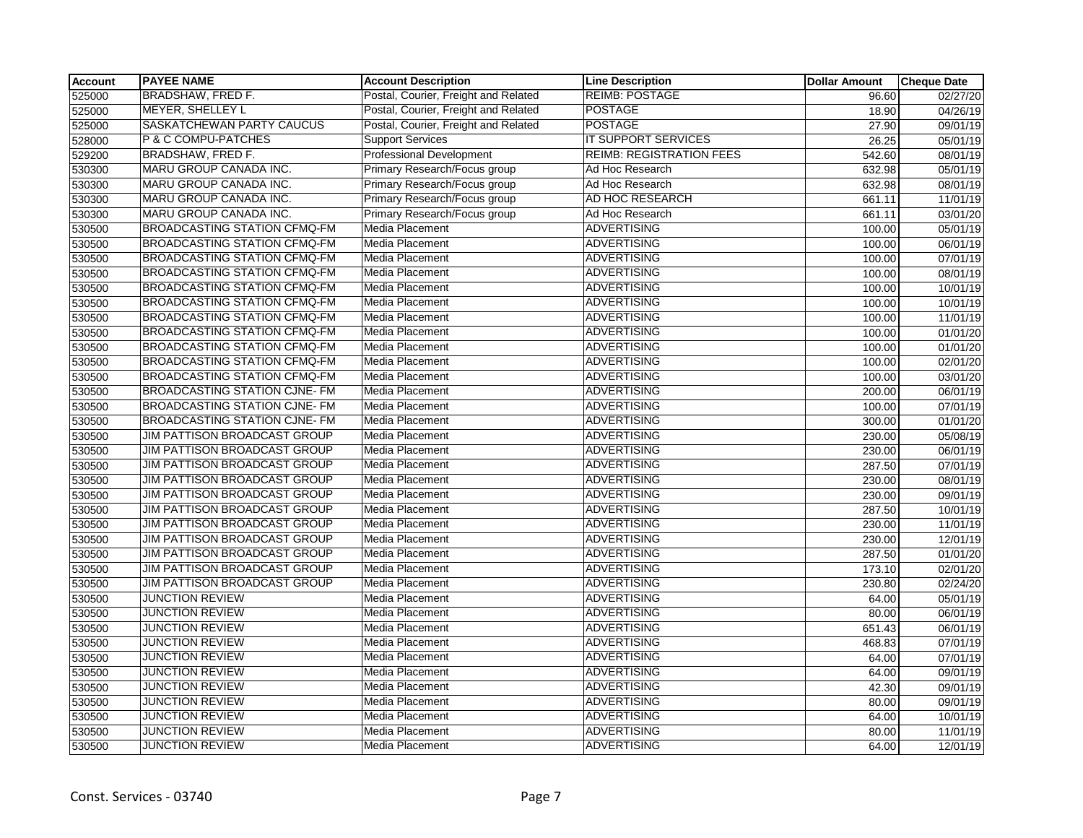| Account | <b>PAYEE NAME</b>                    | <b>Account Description</b>           | <b>Line Description</b>         | <b>Dollar Amount</b> | <b>Cheque Date</b> |
|---------|--------------------------------------|--------------------------------------|---------------------------------|----------------------|--------------------|
| 525000  | <b>BRADSHAW, FRED F.</b>             | Postal, Courier, Freight and Related | <b>REIMB: POSTAGE</b>           | 96.60                | 02/27/20           |
| 525000  | <b>MEYER, SHELLEY L</b>              | Postal, Courier, Freight and Related | <b>POSTAGE</b>                  | 18.90                | 04/26/19           |
| 525000  | SASKATCHEWAN PARTY CAUCUS            | Postal, Courier, Freight and Related | <b>POSTAGE</b>                  | 27.90                | 09/01/19           |
| 528000  | P & C COMPU-PATCHES                  | <b>Support Services</b>              | <b>IT SUPPORT SERVICES</b>      | 26.25                | 05/01/19           |
| 529200  | <b>BRADSHAW, FRED F.</b>             | <b>Professional Development</b>      | <b>REIMB: REGISTRATION FEES</b> | 542.60               | 08/01/19           |
| 530300  | MARU GROUP CANADA INC.               | Primary Research/Focus group         | Ad Hoc Research                 | 632.98               | 05/01/19           |
| 530300  | MARU GROUP CANADA INC.               | Primary Research/Focus group         | Ad Hoc Research                 | 632.98               | 08/01/19           |
| 530300  | MARU GROUP CANADA INC.               | Primary Research/Focus group         | AD HOC RESEARCH                 | 661.11               | 11/01/19           |
| 530300  | <b>MARU GROUP CANADA INC.</b>        | Primary Research/Focus group         | Ad Hoc Research                 | 661.11               | 03/01/20           |
| 530500  | <b>BROADCASTING STATION CFMQ-FM</b>  | <b>Media Placement</b>               | <b>ADVERTISING</b>              | 100.00               | 05/01/19           |
| 530500  | <b>BROADCASTING STATION CFMQ-FM</b>  | <b>Media Placement</b>               | <b>ADVERTISING</b>              | 100.00               | 06/01/19           |
| 530500  | <b>BROADCASTING STATION CFMQ-FM</b>  | Media Placement                      | <b>ADVERTISING</b>              | 100.00               | 07/01/19           |
| 530500  | <b>BROADCASTING STATION CFMQ-FM</b>  | Media Placement                      | <b>ADVERTISING</b>              | 100.00               | 08/01/19           |
| 530500  | <b>BROADCASTING STATION CFMQ-FM</b>  | Media Placement                      | <b>ADVERTISING</b>              | 100.00               | 10/01/19           |
| 530500  | <b>BROADCASTING STATION CFMQ-FM</b>  | Media Placement                      | <b>ADVERTISING</b>              | 100.00               | 10/01/19           |
| 530500  | <b>BROADCASTING STATION CFMQ-FM</b>  | <b>Media Placement</b>               | <b>ADVERTISING</b>              | 100.00               | 11/01/19           |
| 530500  | <b>BROADCASTING STATION CFMQ-FM</b>  | Media Placement                      | <b>ADVERTISING</b>              | 100.00               | 01/01/20           |
| 530500  | <b>BROADCASTING STATION CFMQ-FM</b>  | <b>Media Placement</b>               | <b>ADVERTISING</b>              | 100.00               | 01/01/20           |
| 530500  | <b>BROADCASTING STATION CFMQ-FM</b>  | <b>Media Placement</b>               | <b>ADVERTISING</b>              | 100.00               | 02/01/20           |
| 530500  | <b>BROADCASTING STATION CFMQ-FM</b>  | Media Placement                      | <b>ADVERTISING</b>              | 100.00               | 03/01/20           |
| 530500  | <b>BROADCASTING STATION CJNE- FM</b> | Media Placement                      | <b>ADVERTISING</b>              | 200.00               | 06/01/19           |
| 530500  | <b>BROADCASTING STATION CJNE- FM</b> | Media Placement                      | <b>ADVERTISING</b>              | 100.00               | 07/01/19           |
| 530500  | <b>BROADCASTING STATION CJNE-FM</b>  | <b>Media Placement</b>               | <b>ADVERTISING</b>              | 300.00               | 01/01/20           |
| 530500  | JIM PATTISON BROADCAST GROUP         | <b>Media Placement</b>               | <b>ADVERTISING</b>              | 230.00               | 05/08/19           |
| 530500  | JIM PATTISON BROADCAST GROUP         | Media Placement                      | <b>ADVERTISING</b>              | 230.00               | 06/01/19           |
| 530500  | JIM PATTISON BROADCAST GROUP         | Media Placement                      | <b>ADVERTISING</b>              | 287.50               | 07/01/19           |
| 530500  | <b>JIM PATTISON BROADCAST GROUP</b>  | Media Placement                      | <b>ADVERTISING</b>              | 230.00               | 08/01/19           |
| 530500  | <b>JIM PATTISON BROADCAST GROUP</b>  | Media Placement                      | <b>ADVERTISING</b>              | 230.00               | 09/01/19           |
| 530500  | JIM PATTISON BROADCAST GROUP         | <b>Media Placement</b>               | <b>ADVERTISING</b>              | 287.50               | 10/01/19           |
| 530500  | JIM PATTISON BROADCAST GROUP         | Media Placement                      | <b>ADVERTISING</b>              | 230.00               | 11/01/19           |
| 530500  | JIM PATTISON BROADCAST GROUP         | Media Placement                      | <b>ADVERTISING</b>              | 230.00               | 12/01/19           |
| 530500  | JIM PATTISON BROADCAST GROUP         | Media Placement                      | <b>ADVERTISING</b>              | 287.50               | 01/01/20           |
| 530500  | <b>JIM PATTISON BROADCAST GROUP</b>  | Media Placement                      | <b>ADVERTISING</b>              | 173.10               | 02/01/20           |
| 530500  | JIM PATTISON BROADCAST GROUP         | Media Placement                      | <b>ADVERTISING</b>              | 230.80               | 02/24/20           |
| 530500  | <b>JUNCTION REVIEW</b>               | Media Placement                      | <b>ADVERTISING</b>              | 64.00                | 05/01/19           |
| 530500  | <b>JUNCTION REVIEW</b>               | Media Placement                      | <b>ADVERTISING</b>              | 80.00                | 06/01/19           |
| 530500  | <b>JUNCTION REVIEW</b>               | Media Placement                      | <b>ADVERTISING</b>              | 651.43               | 06/01/19           |
| 530500  | <b>JUNCTION REVIEW</b>               | Media Placement                      | <b>ADVERTISING</b>              | 468.83               | 07/01/19           |
| 530500  | <b>JUNCTION REVIEW</b>               | <b>Media Placement</b>               | <b>ADVERTISING</b>              | 64.00                | 07/01/19           |
| 530500  | <b>JUNCTION REVIEW</b>               | Media Placement                      | <b>ADVERTISING</b>              | 64.00                | 09/01/19           |
| 530500  | <b>JUNCTION REVIEW</b>               | Media Placement                      | <b>ADVERTISING</b>              | 42.30                | 09/01/19           |
| 530500  | <b>JUNCTION REVIEW</b>               | Media Placement                      | <b>ADVERTISING</b>              | 80.00                | 09/01/19           |
| 530500  | <b>JUNCTION REVIEW</b>               | Media Placement                      | <b>ADVERTISING</b>              | 64.00                | 10/01/19           |
| 530500  | <b>JUNCTION REVIEW</b>               | <b>Media Placement</b>               | <b>ADVERTISING</b>              | 80.00                | 11/01/19           |
| 530500  | <b>JUNCTION REVIEW</b>               | Media Placement                      | <b>ADVERTISING</b>              | 64.00                | 12/01/19           |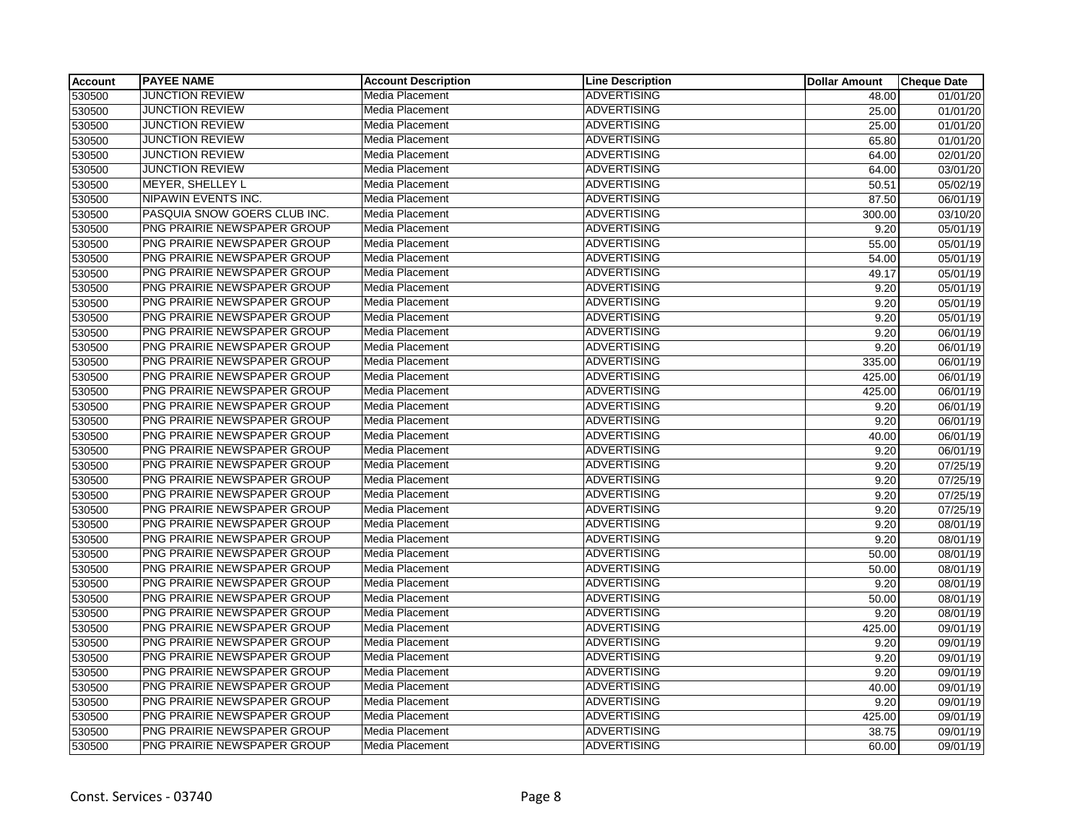| Account | <b>PAYEE NAME</b>            | <b>Account Description</b> | <b>Line Description</b> | <b>Dollar Amount</b> | <b>Cheque Date</b> |
|---------|------------------------------|----------------------------|-------------------------|----------------------|--------------------|
| 530500  | <b>JUNCTION REVIEW</b>       | Media Placement            | ADVERTISING             | 48.00                | 01/01/20           |
| 530500  | <b>JUNCTION REVIEW</b>       | Media Placement            | <b>ADVERTISING</b>      | 25.00                | 01/01/20           |
| 530500  | <b>JUNCTION REVIEW</b>       | Media Placement            | <b>ADVERTISING</b>      | 25.00                | 01/01/20           |
| 530500  | <b>JUNCTION REVIEW</b>       | Media Placement            | <b>ADVERTISING</b>      | 65.80                | 01/01/20           |
| 530500  | <b>JUNCTION REVIEW</b>       | Media Placement            | <b>ADVERTISING</b>      | 64.00                | 02/01/20           |
| 530500  | <b>JUNCTION REVIEW</b>       | Media Placement            | <b>ADVERTISING</b>      | 64.00                | 03/01/20           |
| 530500  | MEYER, SHELLEY L             | Media Placement            | <b>ADVERTISING</b>      | 50.51                | 05/02/19           |
| 530500  | NIPAWIN EVENTS INC.          | Media Placement            | <b>ADVERTISING</b>      | 87.50                | 06/01/19           |
| 530500  | PASQUIA SNOW GOERS CLUB INC. | Media Placement            | <b>ADVERTISING</b>      | 300.00               | 03/10/20           |
| 530500  | PNG PRAIRIE NEWSPAPER GROUP  | Media Placement            | <b>ADVERTISING</b>      | 9.20                 | 05/01/19           |
| 530500  | PNG PRAIRIE NEWSPAPER GROUP  | Media Placement            | <b>ADVERTISING</b>      | 55.00                | 05/01/19           |
| 530500  | PNG PRAIRIE NEWSPAPER GROUP  | Media Placement            | <b>ADVERTISING</b>      | 54.00                | 05/01/19           |
| 530500  | PNG PRAIRIE NEWSPAPER GROUP  | Media Placement            | <b>ADVERTISING</b>      | 49.17                | 05/01/19           |
| 530500  | PNG PRAIRIE NEWSPAPER GROUP  | Media Placement            | <b>ADVERTISING</b>      | 9.20                 | 05/01/19           |
| 530500  | PNG PRAIRIE NEWSPAPER GROUP  | <b>Media Placement</b>     | <b>ADVERTISING</b>      | 9.20                 | 05/01/19           |
| 530500  | PNG PRAIRIE NEWSPAPER GROUP  | Media Placement            | <b>ADVERTISING</b>      | 9.20                 | 05/01/19           |
| 530500  | PNG PRAIRIE NEWSPAPER GROUP  | Media Placement            | <b>ADVERTISING</b>      | 9.20                 | 06/01/19           |
| 530500  | PNG PRAIRIE NEWSPAPER GROUP  | Media Placement            | <b>ADVERTISING</b>      | 9.20                 | 06/01/19           |
| 530500  | PNG PRAIRIE NEWSPAPER GROUP  | Media Placement            | <b>ADVERTISING</b>      | 335.00               | 06/01/19           |
| 530500  | PNG PRAIRIE NEWSPAPER GROUP  | Media Placement            | <b>ADVERTISING</b>      | 425.00               | 06/01/19           |
| 530500  | PNG PRAIRIE NEWSPAPER GROUP  | Media Placement            | <b>ADVERTISING</b>      | 425.00               | 06/01/19           |
| 530500  | PNG PRAIRIE NEWSPAPER GROUP  | Media Placement            | <b>ADVERTISING</b>      | 9.20                 | 06/01/19           |
| 530500  | PNG PRAIRIE NEWSPAPER GROUP  | Media Placement            | <b>ADVERTISING</b>      | 9.20                 | 06/01/19           |
| 530500  | PNG PRAIRIE NEWSPAPER GROUP  | Media Placement            | <b>ADVERTISING</b>      | 40.00                | 06/01/19           |
| 530500  | PNG PRAIRIE NEWSPAPER GROUP  | Media Placement            | <b>ADVERTISING</b>      | 9.20                 | 06/01/19           |
| 530500  | PNG PRAIRIE NEWSPAPER GROUP  | Media Placement            | <b>ADVERTISING</b>      | 9.20                 | 07/25/19           |
| 530500  | PNG PRAIRIE NEWSPAPER GROUP  | Media Placement            | <b>ADVERTISING</b>      | 9.20                 | 07/25/19           |
| 530500  | PNG PRAIRIE NEWSPAPER GROUP  | Media Placement            | <b>ADVERTISING</b>      | 9.20                 | 07/25/19           |
| 530500  | PNG PRAIRIE NEWSPAPER GROUP  | <b>Media Placement</b>     | <b>ADVERTISING</b>      | 9.20                 | 07/25/19           |
| 530500  | PNG PRAIRIE NEWSPAPER GROUP  | Media Placement            | <b>ADVERTISING</b>      | 9.20                 | 08/01/19           |
| 530500  | PNG PRAIRIE NEWSPAPER GROUP  | Media Placement            | <b>ADVERTISING</b>      | 9.20                 | 08/01/19           |
| 530500  | PNG PRAIRIE NEWSPAPER GROUP  | Media Placement            | <b>ADVERTISING</b>      | 50.00                | 08/01/19           |
| 530500  | PNG PRAIRIE NEWSPAPER GROUP  | <b>Media Placement</b>     | <b>ADVERTISING</b>      | 50.00                | 08/01/19           |
| 530500  | PNG PRAIRIE NEWSPAPER GROUP  | Media Placement            | <b>ADVERTISING</b>      | 9.20                 | 08/01/19           |
| 530500  | PNG PRAIRIE NEWSPAPER GROUP  | Media Placement            | <b>ADVERTISING</b>      | 50.00                | 08/01/19           |
| 530500  | PNG PRAIRIE NEWSPAPER GROUP  | Media Placement            | <b>ADVERTISING</b>      | 9.20                 | 08/01/19           |
| 530500  | PNG PRAIRIE NEWSPAPER GROUP  | Media Placement            | <b>ADVERTISING</b>      | 425.00               | 09/01/19           |
| 530500  | PNG PRAIRIE NEWSPAPER GROUP  | Media Placement            | <b>ADVERTISING</b>      | 9.20                 | 09/01/19           |
| 530500  | PNG PRAIRIE NEWSPAPER GROUP  | <b>Media Placement</b>     | <b>ADVERTISING</b>      | 9.20                 | 09/01/19           |
| 530500  | PNG PRAIRIE NEWSPAPER GROUP  | Media Placement            | <b>ADVERTISING</b>      | 9.20                 | 09/01/19           |
| 530500  | PNG PRAIRIE NEWSPAPER GROUP  | <b>Media Placement</b>     | <b>ADVERTISING</b>      | 40.00                | 09/01/19           |
| 530500  | PNG PRAIRIE NEWSPAPER GROUP  | Media Placement            | <b>ADVERTISING</b>      | 9.20                 | 09/01/19           |
| 530500  | PNG PRAIRIE NEWSPAPER GROUP  | Media Placement            | <b>ADVERTISING</b>      | 425.00               | 09/01/19           |
| 530500  | PNG PRAIRIE NEWSPAPER GROUP  | Media Placement            | <b>ADVERTISING</b>      | 38.75                | 09/01/19           |
| 530500  | PNG PRAIRIE NEWSPAPER GROUP  | <b>Media Placement</b>     | <b>ADVERTISING</b>      | 60.00                | 09/01/19           |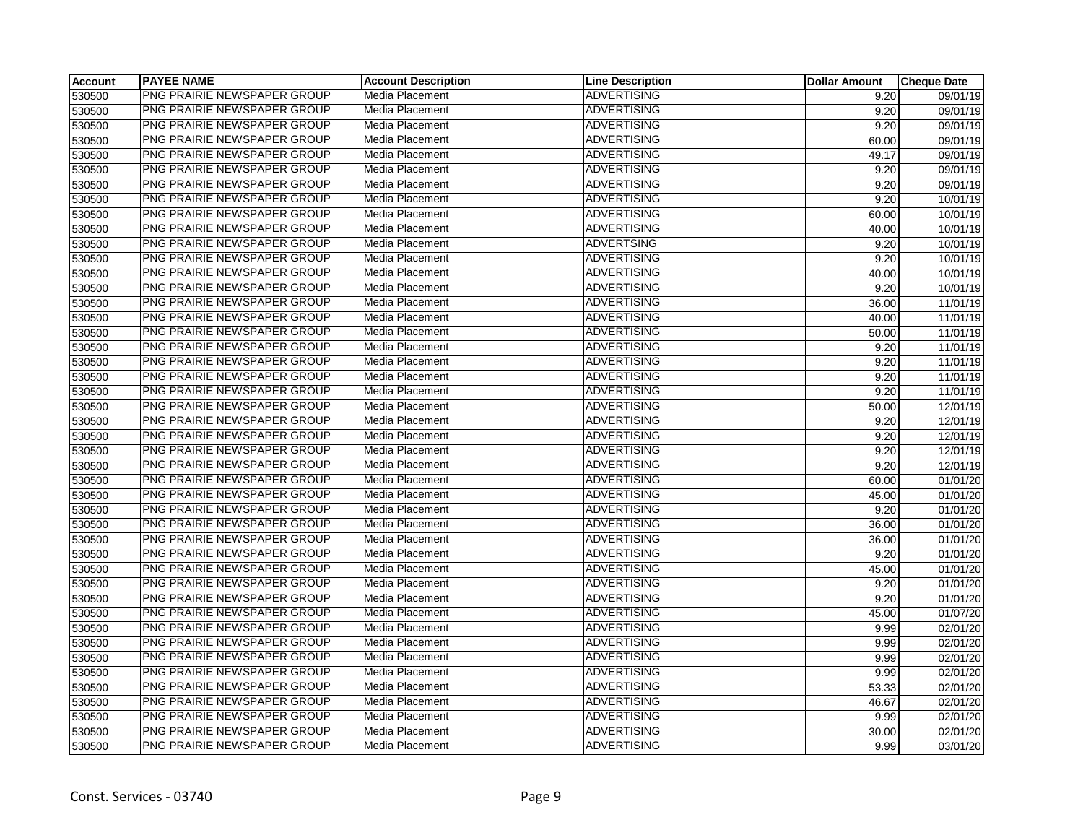| <b>Account</b> | <b>PAYEE NAME</b>                  | <b>Account Description</b> | <b>Line Description</b> | <b>Dollar Amount</b> | <b>Cheque Date</b> |
|----------------|------------------------------------|----------------------------|-------------------------|----------------------|--------------------|
| 530500         | <b>PNG PRAIRIE NEWSPAPER GROUP</b> | Media Placement            | <b>ADVERTISING</b>      | 9.20                 | 09/01/19           |
| 530500         | PNG PRAIRIE NEWSPAPER GROUP        | Media Placement            | <b>ADVERTISING</b>      | 9.20                 | 09/01/19           |
| 530500         | PNG PRAIRIE NEWSPAPER GROUP        | Media Placement            | <b>ADVERTISING</b>      | 9.20                 | 09/01/19           |
| 530500         | PNG PRAIRIE NEWSPAPER GROUP        | Media Placement            | <b>ADVERTISING</b>      | 60.00                | 09/01/19           |
| 530500         | PNG PRAIRIE NEWSPAPER GROUP        | Media Placement            | <b>ADVERTISING</b>      | 49.17                | 09/01/19           |
| 530500         | PNG PRAIRIE NEWSPAPER GROUP        | Media Placement            | <b>ADVERTISING</b>      | 9.20                 | 09/01/19           |
| 530500         | PNG PRAIRIE NEWSPAPER GROUP        | Media Placement            | <b>ADVERTISING</b>      | 9.20                 | 09/01/19           |
| 530500         | PNG PRAIRIE NEWSPAPER GROUP        | Media Placement            | <b>ADVERTISING</b>      | 9.20                 | 10/01/19           |
| 530500         | PNG PRAIRIE NEWSPAPER GROUP        | Media Placement            | <b>ADVERTISING</b>      | 60.00                | 10/01/19           |
| 530500         | PNG PRAIRIE NEWSPAPER GROUP        | Media Placement            | <b>ADVERTISING</b>      | 40.00                | 10/01/19           |
| 530500         | PNG PRAIRIE NEWSPAPER GROUP        | Media Placement            | <b>ADVERTSING</b>       | 9.20                 | 10/01/19           |
| 530500         | PNG PRAIRIE NEWSPAPER GROUP        | Media Placement            | <b>ADVERTISING</b>      | 9.20                 | 10/01/19           |
| 530500         | PNG PRAIRIE NEWSPAPER GROUP        | <b>Media Placement</b>     | <b>ADVERTISING</b>      | 40.00                | 10/01/19           |
| 530500         | PNG PRAIRIE NEWSPAPER GROUP        | Media Placement            | <b>ADVERTISING</b>      | 9.20                 | 10/01/19           |
| 530500         | PNG PRAIRIE NEWSPAPER GROUP        | Media Placement            | <b>ADVERTISING</b>      | 36.00                | 11/01/19           |
| 530500         | PNG PRAIRIE NEWSPAPER GROUP        | Media Placement            | <b>ADVERTISING</b>      | 40.00                | 11/01/19           |
| 530500         | PNG PRAIRIE NEWSPAPER GROUP        | Media Placement            | <b>ADVERTISING</b>      | 50.00                | 11/01/19           |
| 530500         | PNG PRAIRIE NEWSPAPER GROUP        | Media Placement            | <b>ADVERTISING</b>      | 9.20                 | 11/01/19           |
| 530500         | PNG PRAIRIE NEWSPAPER GROUP        | Media Placement            | <b>ADVERTISING</b>      | 9.20                 | 11/01/19           |
| 530500         | PNG PRAIRIE NEWSPAPER GROUP        | Media Placement            | <b>ADVERTISING</b>      | 9.20                 | 11/01/19           |
| 530500         | PNG PRAIRIE NEWSPAPER GROUP        | Media Placement            | <b>ADVERTISING</b>      | 9.20                 | 11/01/19           |
| 530500         | PNG PRAIRIE NEWSPAPER GROUP        | Media Placement            | <b>ADVERTISING</b>      | 50.00                | 12/01/19           |
| 530500         | PNG PRAIRIE NEWSPAPER GROUP        | Media Placement            | <b>ADVERTISING</b>      | 9.20                 | 12/01/19           |
| 530500         | PNG PRAIRIE NEWSPAPER GROUP        | Media Placement            | <b>ADVERTISING</b>      | 9.20                 | 12/01/19           |
| 530500         | PNG PRAIRIE NEWSPAPER GROUP        | Media Placement            | <b>ADVERTISING</b>      | 9.20                 | 12/01/19           |
| 530500         | PNG PRAIRIE NEWSPAPER GROUP        | Media Placement            | <b>ADVERTISING</b>      | 9.20                 | 12/01/19           |
| 530500         | PNG PRAIRIE NEWSPAPER GROUP        | Media Placement            | <b>ADVERTISING</b>      | 60.00                | 01/01/20           |
| 530500         | PNG PRAIRIE NEWSPAPER GROUP        | Media Placement            | <b>ADVERTISING</b>      | 45.00                | 01/01/20           |
| 530500         | PNG PRAIRIE NEWSPAPER GROUP        | Media Placement            | <b>ADVERTISING</b>      | 9.20                 | 01/01/20           |
| 530500         | PNG PRAIRIE NEWSPAPER GROUP        | Media Placement            | <b>ADVERTISING</b>      | 36.00                | 01/01/20           |
| 530500         | PNG PRAIRIE NEWSPAPER GROUP        | Media Placement            | <b>ADVERTISING</b>      | 36.00                | 01/01/20           |
| 530500         | PNG PRAIRIE NEWSPAPER GROUP        | Media Placement            | <b>ADVERTISING</b>      | 9.20                 | 01/01/20           |
| 530500         | PNG PRAIRIE NEWSPAPER GROUP        | Media Placement            | <b>ADVERTISING</b>      | 45.00                | 01/01/20           |
| 530500         | PNG PRAIRIE NEWSPAPER GROUP        | Media Placement            | <b>ADVERTISING</b>      | 9.20                 | 01/01/20           |
| 530500         | PNG PRAIRIE NEWSPAPER GROUP        | Media Placement            | <b>ADVERTISING</b>      | 9.20                 | 01/01/20           |
| 530500         | PNG PRAIRIE NEWSPAPER GROUP        | Media Placement            | <b>ADVERTISING</b>      | 45.00                | 01/07/20           |
| 530500         | PNG PRAIRIE NEWSPAPER GROUP        | Media Placement            | <b>ADVERTISING</b>      | 9.99                 | 02/01/20           |
| 530500         | PNG PRAIRIE NEWSPAPER GROUP        | Media Placement            | <b>ADVERTISING</b>      | 9.99                 | 02/01/20           |
| 530500         | PNG PRAIRIE NEWSPAPER GROUP        | Media Placement            | <b>ADVERTISING</b>      | 9.99                 | 02/01/20           |
| 530500         | PNG PRAIRIE NEWSPAPER GROUP        | Media Placement            | <b>ADVERTISING</b>      | 9.99                 | 02/01/20           |
| 530500         | PNG PRAIRIE NEWSPAPER GROUP        | Media Placement            | <b>ADVERTISING</b>      | 53.33                | 02/01/20           |
| 530500         | PNG PRAIRIE NEWSPAPER GROUP        | Media Placement            | <b>ADVERTISING</b>      | 46.67                | 02/01/20           |
| 530500         | PNG PRAIRIE NEWSPAPER GROUP        | Media Placement            | <b>ADVERTISING</b>      | 9.99                 | 02/01/20           |
| 530500         | PNG PRAIRIE NEWSPAPER GROUP        | Media Placement            | <b>ADVERTISING</b>      | 30.00                | 02/01/20           |
| 530500         | PNG PRAIRIE NEWSPAPER GROUP        | Media Placement            | <b>ADVERTISING</b>      | 9.99                 | 03/01/20           |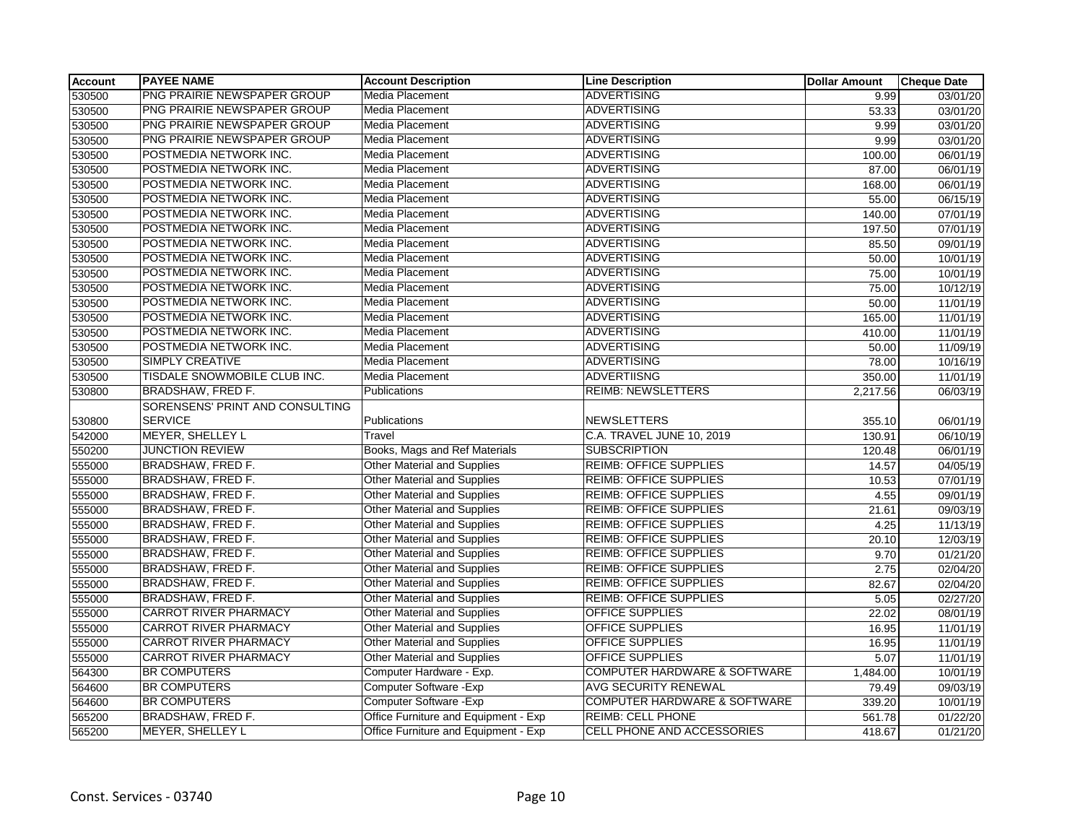| <b>Account</b> | <b>PAYEE NAME</b>               | <b>Account Description</b>           | <b>Line Description</b>                 | <b>Dollar Amount</b> | <b>Cheque Date</b> |
|----------------|---------------------------------|--------------------------------------|-----------------------------------------|----------------------|--------------------|
| 530500         | PNG PRAIRIE NEWSPAPER GROUP     | <b>Media Placement</b>               | <b>ADVERTISING</b>                      | 9.99                 | 03/01/20           |
| 530500         | PNG PRAIRIE NEWSPAPER GROUP     | <b>Media Placement</b>               | <b>ADVERTISING</b>                      | 53.33                | 03/01/20           |
| 530500         | PNG PRAIRIE NEWSPAPER GROUP     | Media Placement                      | <b>ADVERTISING</b>                      | 9.99                 | 03/01/20           |
| 530500         | PNG PRAIRIE NEWSPAPER GROUP     | Media Placement                      | <b>ADVERTISING</b>                      | 9.99                 | 03/01/20           |
| 530500         | POSTMEDIA NETWORK INC.          | Media Placement                      | <b>ADVERTISING</b>                      | 100.00               | 06/01/19           |
| 530500         | POSTMEDIA NETWORK INC.          | Media Placement                      | <b>ADVERTISING</b>                      | 87.00                | 06/01/19           |
| 530500         | POSTMEDIA NETWORK INC.          | Media Placement                      | <b>ADVERTISING</b>                      | 168.00               | 06/01/19           |
| 530500         | POSTMEDIA NETWORK INC.          | <b>Media Placement</b>               | <b>ADVERTISING</b>                      | 55.00                | 06/15/19           |
| 530500         | POSTMEDIA NETWORK INC.          | Media Placement                      | <b>ADVERTISING</b>                      | 140.00               | 07/01/19           |
| 530500         | POSTMEDIA NETWORK INC.          | Media Placement                      | <b>ADVERTISING</b>                      | 197.50               | 07/01/19           |
| 530500         | POSTMEDIA NETWORK INC.          | <b>Media Placement</b>               | <b>ADVERTISING</b>                      | 85.50                | 09/01/19           |
| 530500         | POSTMEDIA NETWORK INC.          | Media Placement                      | <b>ADVERTISING</b>                      | 50.00                | 10/01/19           |
| 530500         | POSTMEDIA NETWORK INC.          | Media Placement                      | <b>ADVERTISING</b>                      | 75.00                | 10/01/19           |
| 530500         | POSTMEDIA NETWORK INC.          | Media Placement                      | <b>ADVERTISING</b>                      | 75.00                | 10/12/19           |
| 530500         | POSTMEDIA NETWORK INC.          | Media Placement                      | <b>ADVERTISING</b>                      | 50.00                | 11/01/19           |
| 530500         | POSTMEDIA NETWORK INC.          | Media Placement                      | <b>ADVERTISING</b>                      | 165.00               | 11/01/19           |
| 530500         | POSTMEDIA NETWORK INC.          | <b>Media Placement</b>               | <b>ADVERTISING</b>                      | 410.00               | 11/01/19           |
| 530500         | POSTMEDIA NETWORK INC.          | <b>Media Placement</b>               | <b>ADVERTISING</b>                      | 50.00                | 11/09/19           |
| 530500         | <b>SIMPLY CREATIVE</b>          | Media Placement                      | <b>ADVERTISING</b>                      | 78.00                | 10/16/19           |
| 530500         | TISDALE SNOWMOBILE CLUB INC.    | Media Placement                      | <b>ADVERTIISNG</b>                      | 350.00               | 11/01/19           |
| 530800         | BRADSHAW, FRED F.               | Publications                         | <b>REIMB: NEWSLETTERS</b>               | 2,217.56             | 06/03/19           |
|                | SORENSENS' PRINT AND CONSULTING |                                      |                                         |                      |                    |
| 530800         | <b>SERVICE</b>                  | Publications                         | <b>NEWSLETTERS</b>                      | 355.10               | 06/01/19           |
| 542000         | <b>MEYER, SHELLEY L</b>         | Travel                               | C.A. TRAVEL JUNE 10, 2019               | 130.91               | 06/10/19           |
| 550200         | <b>JUNCTION REVIEW</b>          | Books, Mags and Ref Materials        | <b>SUBSCRIPTION</b>                     | 120.48               | 06/01/19           |
| 555000         | BRADSHAW, FRED F.               | Other Material and Supplies          | <b>REIMB: OFFICE SUPPLIES</b>           | 14.57                | 04/05/19           |
| 555000         | BRADSHAW, FRED F.               | Other Material and Supplies          | <b>REIMB: OFFICE SUPPLIES</b>           | 10.53                | 07/01/19           |
| 555000         | BRADSHAW, FRED F.               | <b>Other Material and Supplies</b>   | <b>REIMB: OFFICE SUPPLIES</b>           | 4.55                 | 09/01/19           |
| 555000         | <b>BRADSHAW, FRED F.</b>        | <b>Other Material and Supplies</b>   | <b>REIMB: OFFICE SUPPLIES</b>           | 21.61                | 09/03/19           |
| 555000         | BRADSHAW, FRED F.               | <b>Other Material and Supplies</b>   | <b>REIMB: OFFICE SUPPLIES</b>           | 4.25                 | 11/13/19           |
| 555000         | <b>BRADSHAW, FRED F.</b>        | <b>Other Material and Supplies</b>   | <b>REIMB: OFFICE SUPPLIES</b>           | 20.10                | 12/03/19           |
| 555000         | BRADSHAW, FRED F.               | Other Material and Supplies          | <b>REIMB: OFFICE SUPPLIES</b>           | 9.70                 | 01/21/20           |
| 555000         | BRADSHAW, FRED F.               | Other Material and Supplies          | <b>REIMB: OFFICE SUPPLIES</b>           | 2.75                 | 02/04/20           |
| 555000         | BRADSHAW, FRED F.               | <b>Other Material and Supplies</b>   | <b>REIMB: OFFICE SUPPLIES</b>           | 82.67                | 02/04/20           |
| 555000         | <b>BRADSHAW, FRED F.</b>        | <b>Other Material and Supplies</b>   | <b>REIMB: OFFICE SUPPLIES</b>           | 5.05                 | 02/27/20           |
| 555000         | <b>CARROT RIVER PHARMACY</b>    | Other Material and Supplies          | <b>OFFICE SUPPLIES</b>                  | 22.02                | 08/01/19           |
| 555000         | <b>CARROT RIVER PHARMACY</b>    | Other Material and Supplies          | <b>OFFICE SUPPLIES</b>                  | 16.95                | 11/01/19           |
| 555000         | <b>CARROT RIVER PHARMACY</b>    | <b>Other Material and Supplies</b>   | <b>OFFICE SUPPLIES</b>                  | 16.95                | 11/01/19           |
| 555000         | <b>CARROT RIVER PHARMACY</b>    | Other Material and Supplies          | <b>OFFICE SUPPLIES</b>                  | 5.07                 | 11/01/19           |
| 564300         | <b>BR COMPUTERS</b>             | Computer Hardware - Exp.             | <b>COMPUTER HARDWARE &amp; SOFTWARE</b> | 1,484.00             | 10/01/19           |
| 564600         | <b>BR COMPUTERS</b>             | Computer Software - Exp              | AVG SECURITY RENEWAL                    | 79.49                | 09/03/19           |
| 564600         | <b>BR COMPUTERS</b>             | Computer Software - Exp              | <b>COMPUTER HARDWARE &amp; SOFTWARE</b> | 339.20               | 10/01/19           |
| 565200         | <b>BRADSHAW, FRED F.</b>        | Office Furniture and Equipment - Exp | <b>REIMB: CELL PHONE</b>                | 561.78               | 01/22/20           |
| 565200         | <b>MEYER, SHELLEY L</b>         | Office Furniture and Equipment - Exp | CELL PHONE AND ACCESSORIES              | 418.67               | 01/21/20           |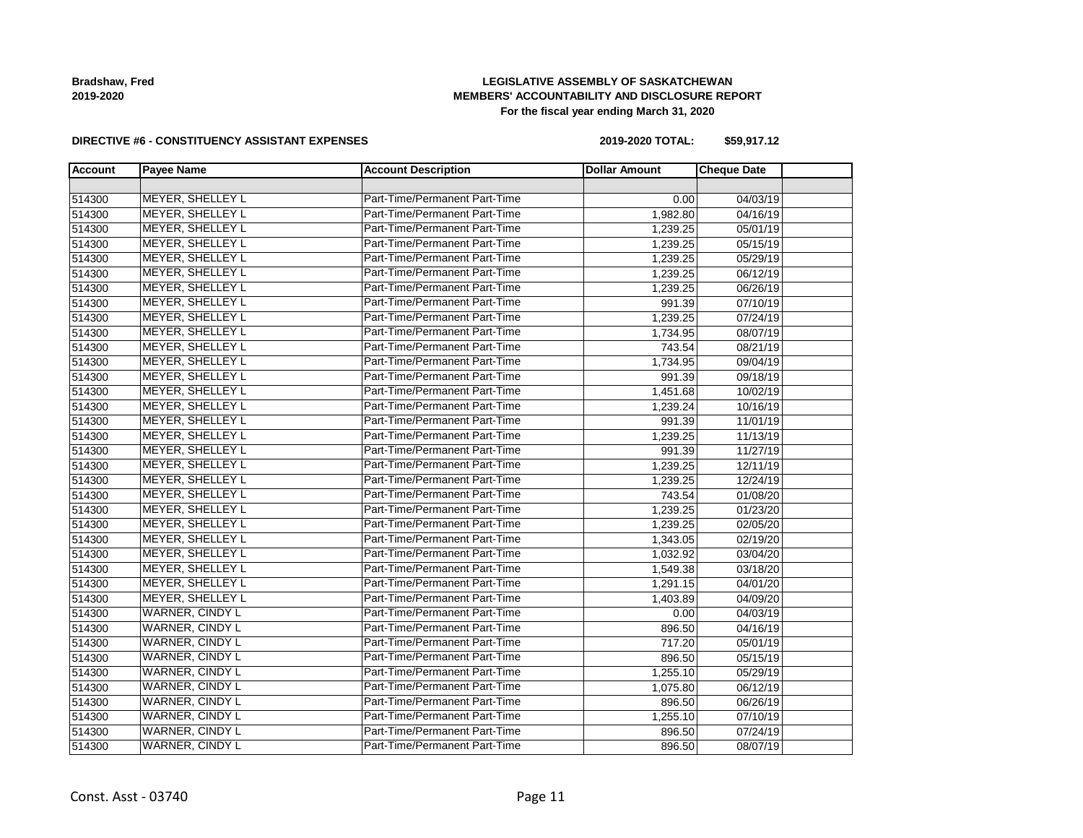**Bradshaw, Fred 2019-2020**

### **LEGISLATIVE ASSEMBLY OF SASKATCHEWAN MEMBERS' ACCOUNTABILITY AND DISCLOSURE REPORT For the fiscal year ending March 31, 2020**

#### **DIRECTIVE #6 - CONSTITUENCY ASSISTANT EXPENSES**

**2019-2020 TOTAL: \$59,917.12**

| <b>Account</b> | <b>Payee Name</b>       | <b>Account Description</b>    | <b>Dollar Amount</b> | <b>Cheque Date</b> |  |
|----------------|-------------------------|-------------------------------|----------------------|--------------------|--|
|                |                         |                               |                      |                    |  |
| 514300         | <b>MEYER, SHELLEY L</b> | Part-Time/Permanent Part-Time | 0.00                 | 04/03/19           |  |
| 514300         | <b>MEYER, SHELLEY L</b> | Part-Time/Permanent Part-Time | 1,982.80             | 04/16/19           |  |
| 514300         | <b>MEYER, SHELLEY L</b> | Part-Time/Permanent Part-Time | 1,239.25             | 05/01/19           |  |
| 514300         | <b>MEYER, SHELLEY L</b> | Part-Time/Permanent Part-Time | 1,239.25             | 05/15/19           |  |
| 514300         | MEYER, SHELLEY L        | Part-Time/Permanent Part-Time | 1,239.25             | 05/29/19           |  |
| 514300         | <b>MEYER, SHELLEY L</b> | Part-Time/Permanent Part-Time | 1,239.25             | 06/12/19           |  |
| 514300         | <b>MEYER, SHELLEY L</b> | Part-Time/Permanent Part-Time | 1,239.25             | 06/26/19           |  |
| 514300         | <b>MEYER, SHELLEY L</b> | Part-Time/Permanent Part-Time | 991.39               | 07/10/19           |  |
| 514300         | <b>MEYER, SHELLEY L</b> | Part-Time/Permanent Part-Time | 1,239.25             | 07/24/19           |  |
| 514300         | <b>MEYER, SHELLEY L</b> | Part-Time/Permanent Part-Time | 1,734.95             | 08/07/19           |  |
| 514300         | <b>MEYER, SHELLEY L</b> | Part-Time/Permanent Part-Time | 743.54               | 08/21/19           |  |
| 514300         | MEYER, SHELLEY L        | Part-Time/Permanent Part-Time | 1,734.95             | 09/04/19           |  |
| 514300         | <b>MEYER, SHELLEY L</b> | Part-Time/Permanent Part-Time | 991.39               | 09/18/19           |  |
| 514300         | <b>MEYER, SHELLEY L</b> | Part-Time/Permanent Part-Time | 1,451.68             | 10/02/19           |  |
| 514300         | <b>MEYER, SHELLEY L</b> | Part-Time/Permanent Part-Time | 1,239.24             | 10/16/19           |  |
| 514300         | <b>MEYER, SHELLEY L</b> | Part-Time/Permanent Part-Time | 991.39               | 11/01/19           |  |
| 514300         | MEYER, SHELLEY L        | Part-Time/Permanent Part-Time | 1,239.25             | 11/13/19           |  |
| 514300         | <b>MEYER, SHELLEY L</b> | Part-Time/Permanent Part-Time | 991.39               | 11/27/19           |  |
| 514300         | <b>MEYER, SHELLEY L</b> | Part-Time/Permanent Part-Time | 1,239.25             | 12/11/19           |  |
| 514300         | <b>MEYER, SHELLEY L</b> | Part-Time/Permanent Part-Time | 1,239.25             | 12/24/19           |  |
| 514300         | <b>MEYER, SHELLEY L</b> | Part-Time/Permanent Part-Time | 743.54               | 01/08/20           |  |
| 514300         | MEYER, SHELLEY L        | Part-Time/Permanent Part-Time | 1,239.25             | 01/23/20           |  |
| 514300         | MEYER, SHELLEY L        | Part-Time/Permanent Part-Time | 1,239.25             | 02/05/20           |  |
| 514300         | <b>MEYER, SHELLEY L</b> | Part-Time/Permanent Part-Time | 1,343.05             | 02/19/20           |  |
| 514300         | <b>MEYER, SHELLEY L</b> | Part-Time/Permanent Part-Time | 1,032.92             | 03/04/20           |  |
| 514300         | <b>MEYER, SHELLEY L</b> | Part-Time/Permanent Part-Time | 1,549.38             | 03/18/20           |  |
| 514300         | <b>MEYER, SHELLEY L</b> | Part-Time/Permanent Part-Time | 1,291.15             | 04/01/20           |  |
| 514300         | <b>MEYER, SHELLEY L</b> | Part-Time/Permanent Part-Time | 1,403.89             | 04/09/20           |  |
| 514300         | <b>WARNER, CINDY L</b>  | Part-Time/Permanent Part-Time | 0.00                 | 04/03/19           |  |
| 514300         | <b>WARNER, CINDY L</b>  | Part-Time/Permanent Part-Time | 896.50               | 04/16/19           |  |
| 514300         | <b>WARNER, CINDY L</b>  | Part-Time/Permanent Part-Time | 717.20               | 05/01/19           |  |
| 514300         | <b>WARNER, CINDY L</b>  | Part-Time/Permanent Part-Time | 896.50               | 05/15/19           |  |
| 514300         | <b>WARNER, CINDY L</b>  | Part-Time/Permanent Part-Time | 1,255.10             | 05/29/19           |  |
| 514300         | <b>WARNER, CINDY L</b>  | Part-Time/Permanent Part-Time | 1,075.80             | 06/12/19           |  |
| 514300         | <b>WARNER, CINDY L</b>  | Part-Time/Permanent Part-Time | 896.50               | 06/26/19           |  |
| 514300         | <b>WARNER, CINDY L</b>  | Part-Time/Permanent Part-Time | 1,255.10             | 07/10/19           |  |
| 514300         | <b>WARNER, CINDY L</b>  | Part-Time/Permanent Part-Time | 896.50               | 07/24/19           |  |
| 514300         | <b>WARNER, CINDY L</b>  | Part-Time/Permanent Part-Time | 896.50               | 08/07/19           |  |